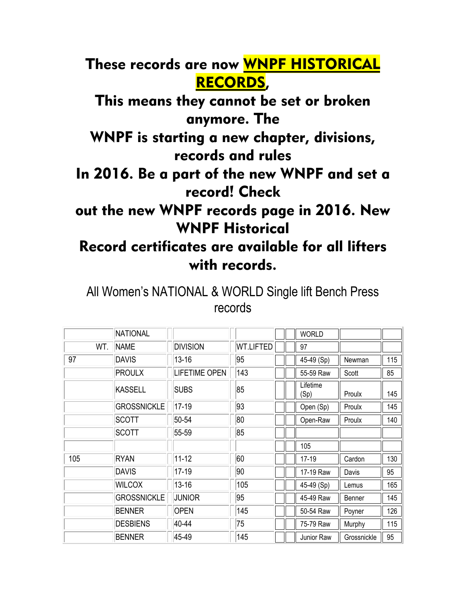## These records are now WNPF HISTORICAL RECORDS,

This means they cannot be set or broken anymore. The

WNPF is starting a new chapter, divisions, records and rules

In 2016. Be a part of the new WNPF and set a record! Check

## out the new WNPF records page in 2016. New WNPF Historical

## Record certificates are available for all lifters with records.

All Women's NATIONAL & WORLD Single lift Bench Press records

|     | NATIONAL           |                      |                  | <b>WORLD</b>     |             |     |
|-----|--------------------|----------------------|------------------|------------------|-------------|-----|
| WT. | <b>NAME</b>        | <b>DIVISION</b>      | <b>WT.LIFTED</b> | 97               |             |     |
| 97  | <b>DAVIS</b>       | $13 - 16$            | 95               | 45-49 (Sp)       | Newman      | 115 |
|     | <b>PROULX</b>      | <b>LIFETIME OPEN</b> | 143              | 55-59 Raw        | Scott       | 85  |
|     | <b>KASSELL</b>     | <b>SUBS</b>          | 85               | Lifetime<br>(Sp) | Proulx      | 145 |
|     | <b>GROSSNICKLE</b> | 17-19                | 93               | Open (Sp)        | Proulx      | 145 |
|     | <b>SCOTT</b>       | 50-54                | 80               | Open-Raw         | Proulx      | 140 |
|     | <b>SCOTT</b>       | 55-59                | 85               |                  |             |     |
|     |                    |                      |                  | 105              |             |     |
| 105 | <b>RYAN</b>        | $11 - 12$            | 60               | $17-19$          | Cardon      | 130 |
|     | <b>DAVIS</b>       | 17-19                | 90               | 17-19 Raw        | Davis       | 95  |
|     | <b>WILCOX</b>      | $13 - 16$            | 105              | 45-49 (Sp)       | Lemus       | 165 |
|     | <b>GROSSNICKLE</b> | <b>JUNIOR</b>        | 95               | 45-49 Raw        | Benner      | 145 |
|     | <b>BENNER</b>      | <b>OPEN</b>          | 145              | 50-54 Raw        | Poyner      | 126 |
|     | <b>DESBIENS</b>    | 40-44                | 75               | 75-79 Raw        | Murphy      | 115 |
|     | <b>BENNER</b>      | 45-49                | 145              | Junior Raw       | Grossnickle | 95  |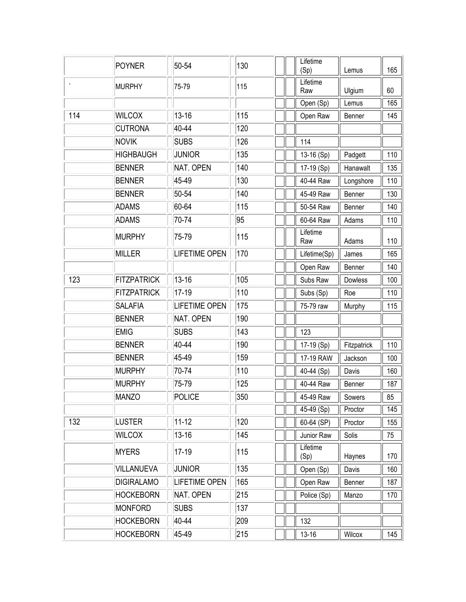|                      | <b>POYNER</b>      | 50-54                | 130 |  | Lifetime<br>(Sp) | Lemus       | 165 |  |
|----------------------|--------------------|----------------------|-----|--|------------------|-------------|-----|--|
|                      | MURPHY             | 75-79                | 115 |  | Lifetime<br>Raw  | Ulgium      | 60  |  |
|                      |                    |                      |     |  | Open (Sp)        | Lemus       | 165 |  |
| 114<br><b>WILCOX</b> |                    | $13 - 16$            | 115 |  | Open Raw         | Benner      | 145 |  |
|                      | <b>CUTRONA</b>     | 40-44                | 120 |  |                  |             |     |  |
|                      | <b>NOVIK</b>       | <b>SUBS</b>          | 126 |  | 114              |             |     |  |
|                      | <b>HIGHBAUGH</b>   | <b>JUNIOR</b>        | 135 |  | 13-16 (Sp)       | Padgett     | 110 |  |
|                      | <b>BENNER</b>      | NAT. OPEN            | 140 |  | 17-19 (Sp)       | Hanawalt    | 135 |  |
|                      | <b>BENNER</b>      | 45-49                | 130 |  | 40-44 Raw        | Longshore   | 110 |  |
|                      | <b>BENNER</b>      | 50-54                | 140 |  | 45-49 Raw        | Benner      | 130 |  |
|                      | <b>ADAMS</b>       | 60-64                | 115 |  | 50-54 Raw        | Benner      | 140 |  |
|                      | <b>ADAMS</b>       | 70-74                | 95  |  | 60-64 Raw        | Adams       | 110 |  |
|                      | <b>MURPHY</b>      | 75-79                | 115 |  | Lifetime<br>Raw  | Adams       | 110 |  |
|                      | <b>MILLER</b>      | <b>LIFETIME OPEN</b> | 170 |  | Lifetime(Sp)     | James       | 165 |  |
|                      |                    |                      |     |  | Open Raw         | Benner      | 140 |  |
| 123                  | <b>FITZPATRICK</b> | $13 - 16$            | 105 |  | Subs Raw         | Dowless     | 100 |  |
|                      | <b>FITZPATRICK</b> | $17-19$              | 110 |  | Subs (Sp)        | Roe         | 110 |  |
|                      | <b>SALAFIA</b>     | <b>LIFETIME OPEN</b> | 175 |  | 75-79 raw        | Murphy      | 115 |  |
|                      | <b>BENNER</b>      | NAT. OPEN            | 190 |  |                  |             |     |  |
|                      | <b>EMIG</b>        | <b>SUBS</b>          | 143 |  | 123              |             |     |  |
|                      | <b>BENNER</b>      | 40-44                | 190 |  | 17-19 (Sp)       | Fitzpatrick | 110 |  |
|                      | <b>BENNER</b>      | 45-49                | 159 |  | 17-19 RAW        | Jackson     | 100 |  |
|                      | <b>MURPHY</b>      | 70-74                | 110 |  | 40-44 (Sp)       | Davis       | 160 |  |
|                      | <b>MURPHY</b>      | 75-79                | 125 |  | 40-44 Raw        | Benner      | 187 |  |
|                      | MANZO              | POLICE               | 350 |  | 45-49 Raw        | Sowers      | 85  |  |
|                      |                    |                      |     |  | $45-49$ (Sp)     | Proctor     | 145 |  |
| 132                  | <b>LUSTER</b>      | $11 - 12$            | 120 |  | 60-64 (SP)       | Proctor     | 155 |  |
|                      | <b>WILCOX</b>      | $13 - 16$            | 145 |  | Junior Raw       | Solis       | 75  |  |
|                      | <b>MYERS</b>       | $17-19$              | 115 |  | Lifetime<br>(Sp) | Haynes      | 170 |  |
|                      | <b>VILLANUEVA</b>  | JUNIOR               | 135 |  | Open (Sp)        | Davis       | 160 |  |
|                      | <b>DIGIRALAMO</b>  | <b>LIFETIME OPEN</b> | 165 |  | Open Raw         | Benner      | 187 |  |
|                      | <b>HOCKEBORN</b>   | NAT. OPEN            | 215 |  | Police (Sp)      | Manzo       | 170 |  |
|                      | MONFORD            | <b>SUBS</b>          | 137 |  |                  |             |     |  |
|                      | <b>HOCKEBORN</b>   | 40-44                | 209 |  | 132              |             |     |  |
|                      | <b>HOCKEBORN</b>   | 45-49                | 215 |  | $13 - 16$        | Wilcox      | 145 |  |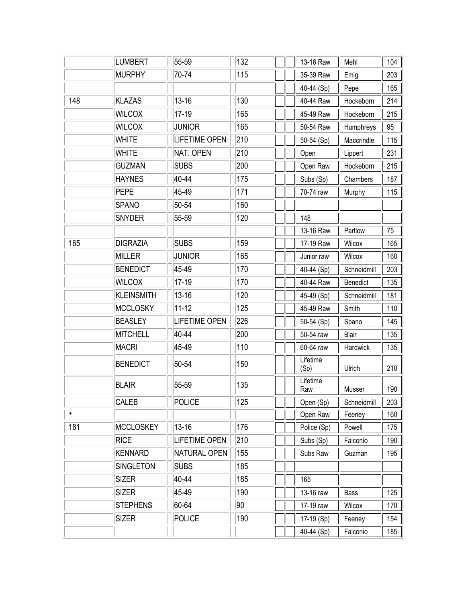|               | <b>LUMBERT</b>    | 55-59                | 132 |  | 13-16 Raw        | Mehl        | 104 |
|---------------|-------------------|----------------------|-----|--|------------------|-------------|-----|
|               | <b>MURPHY</b>     | 70-74                | 115 |  | 35-39 Raw        | Emig        | 203 |
|               |                   |                      |     |  | 40-44 (Sp)       | Pepe        | 165 |
| 148           | <b>KLAZAS</b>     | $13 - 16$            | 130 |  | 40-44 Raw        | Hockeborn   | 214 |
| <b>WILCOX</b> |                   | $17-19$              | 165 |  | 45-49 Raw        | Hockeborn   | 215 |
|               | <b>WILCOX</b>     | <b>JUNIOR</b>        | 165 |  | 50-54 Raw        | Humphreys   | 95  |
|               | <b>WHITE</b>      | <b>LIFETIME OPEN</b> | 210 |  | 50-54 (Sp)       | Maccrindle  | 115 |
|               | <b>WHITE</b>      | NAT. OPEN            | 210 |  | Open             | Lippert     | 231 |
|               | <b>GUZMAN</b>     | <b>SUBS</b>          | 200 |  | Open Raw         | Hockeborn   | 215 |
|               | <b>HAYNES</b>     | 40-44                | 175 |  | Subs (Sp)        | Chambers    | 187 |
|               | <b>PEPE</b>       | 45-49                | 171 |  | 70-74 raw        | Murphy      | 115 |
|               | <b>SPANO</b>      | 50-54                | 160 |  |                  |             |     |
|               | <b>SNYDER</b>     | 55-59                | 120 |  | 148              |             |     |
|               |                   |                      |     |  | 13-16 Raw        | Partlow     | 75  |
| 165           | <b>DIGRAZIA</b>   | <b>SUBS</b>          | 159 |  | 17-19 Raw        | Wilcox      | 165 |
|               | <b>MILLER</b>     | <b>JUNIOR</b>        | 165 |  | Junior raw       | Wilcox      | 160 |
|               | <b>BENEDICT</b>   | 45-49                | 170 |  | 40-44 (Sp)       | Schneidmill | 203 |
|               | <b>WILCOX</b>     | $17-19$              | 170 |  | 40-44 Raw        | Benedict    | 135 |
|               | <b>KLEINSMITH</b> | $13 - 16$            | 120 |  | 45-49 (Sp)       | Schneidmill | 181 |
|               | <b>MCCLOSKY</b>   | $11 - 12$            | 125 |  | 45-49 Raw        | Smith       | 110 |
|               | <b>BEASLEY</b>    | <b>LIFETIME OPEN</b> | 226 |  | 50-54 (Sp)       | Spano       | 145 |
|               | <b>MITCHELL</b>   | 40-44                | 200 |  | 50-54 raw        | Blair       | 135 |
|               | MACRI             | 45-49                | 110 |  | 60-64 raw        | Hardwick    | 135 |
|               | <b>BENEDICT</b>   | 50-54                | 150 |  | Lifetime<br>(Sp) | Ulrich      | 210 |
|               | <b>BLAIR</b>      | 55-59                | 135 |  | Lifetime<br>Raw  | Musser      | 190 |
|               | CALEB             | <b>POLICE</b>        | 125 |  | Open (Sp)        | Schneidmill | 203 |
| $\ast$        |                   |                      |     |  | Open Raw         | Feeney      | 160 |
| 181           | <b>MCCLOSKEY</b>  | $13 - 16$            | 176 |  | Police (Sp)      | Powell      | 175 |
|               | <b>RICE</b>       | LIFETIME OPEN        | 210 |  | Subs (Sp)        | Falconio    | 190 |
|               | <b>KENNARD</b>    | NATURAL OPEN         | 155 |  | Subs Raw         | Guzman      | 195 |
|               | <b>SINGLETON</b>  | <b>SUBS</b>          | 185 |  |                  |             |     |
|               | <b>SIZER</b>      | 40-44                | 185 |  | 165              |             |     |
|               | <b>SIZER</b>      | 45-49                | 190 |  | 13-16 raw        | Bass        | 125 |
|               | <b>STEPHENS</b>   | 60-64                | 90  |  | 17-19 raw        | Wilcox      | 170 |
|               | <b>SIZER</b>      | <b>POLICE</b>        | 190 |  | 17-19 (Sp)       | Feeney      | 154 |
|               |                   |                      |     |  | 40-44 (Sp)       | Falconio    | 185 |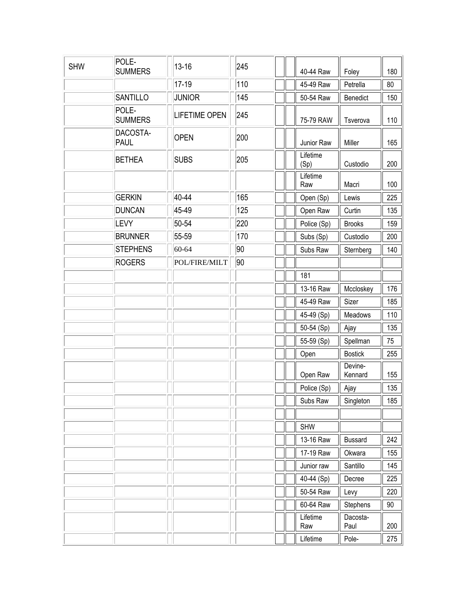| <b>SHW</b> | POLE-<br><b>SUMMERS</b> | $13 - 16$            | 245 | 40-44 Raw        | Foley              | 180 |
|------------|-------------------------|----------------------|-----|------------------|--------------------|-----|
|            |                         | 17-19                | 110 | 45-49 Raw        | Petrella           | 80  |
|            | <b>SANTILLO</b>         | <b>JUNIOR</b>        | 145 | 50-54 Raw        | Benedict           | 150 |
|            | POLE-<br><b>SUMMERS</b> | <b>LIFETIME OPEN</b> | 245 | 75-79 RAW        | Tsverova           | 110 |
|            | DACOSTA-<br><b>PAUL</b> | <b>OPEN</b>          | 200 | Junior Raw       | Miller             | 165 |
|            | <b>BETHEA</b>           | <b>SUBS</b>          | 205 | Lifetime<br>(Sp) | Custodio           | 200 |
|            |                         |                      |     | Lifetime<br>Raw  | Macri              | 100 |
|            | <b>GERKIN</b>           | 40-44                | 165 | Open (Sp)        | Lewis              | 225 |
|            | <b>DUNCAN</b>           | 45-49                | 125 | Open Raw         | Curtin             | 135 |
|            | <b>LEVY</b>             | 50-54                | 220 | Police (Sp)      | <b>Brooks</b>      | 159 |
|            | <b>BRUNNER</b>          | 55-59                | 170 | Subs (Sp)        | Custodio           | 200 |
|            | <b>STEPHENS</b>         | 60-64                | 90  | Subs Raw         | Sternberg          | 140 |
|            | <b>ROGERS</b>           | POL/FIRE/MILT        | 90  |                  |                    |     |
|            |                         |                      |     | 181              |                    |     |
|            |                         |                      |     | 13-16 Raw        | Mccloskey          | 176 |
|            |                         |                      |     | 45-49 Raw        | Sizer              | 185 |
|            |                         |                      |     | 45-49 (Sp)       | Meadows            | 110 |
|            |                         |                      |     | 50-54 (Sp)       | Ajay               | 135 |
|            |                         |                      |     | 55-59 (Sp)       | Spellman           | 75  |
|            |                         |                      |     | Open             | <b>Bostick</b>     | 255 |
|            |                         |                      |     | Open Raw         | Devine-<br>Kennard | 155 |
|            |                         |                      |     | Police (Sp)      | Ajay               | 135 |
|            |                         |                      |     | Subs Raw         | Singleton          | 185 |
|            |                         |                      |     |                  |                    |     |
|            |                         |                      |     | <b>SHW</b>       |                    |     |
|            |                         |                      |     | 13-16 Raw        | <b>Bussard</b>     | 242 |
|            |                         |                      |     | 17-19 Raw        | Okwara             | 155 |
|            |                         |                      |     | Junior raw       | Santillo           | 145 |
|            |                         |                      |     | 40-44 (Sp)       | Decree             | 225 |
|            |                         |                      |     | 50-54 Raw        | Levy               | 220 |
|            |                         |                      |     | 60-64 Raw        | Stephens           | 90  |
|            |                         |                      |     | Lifetime<br>Raw  | Dacosta-<br>Paul   | 200 |
|            |                         |                      |     | Lifetime         | Pole-              | 275 |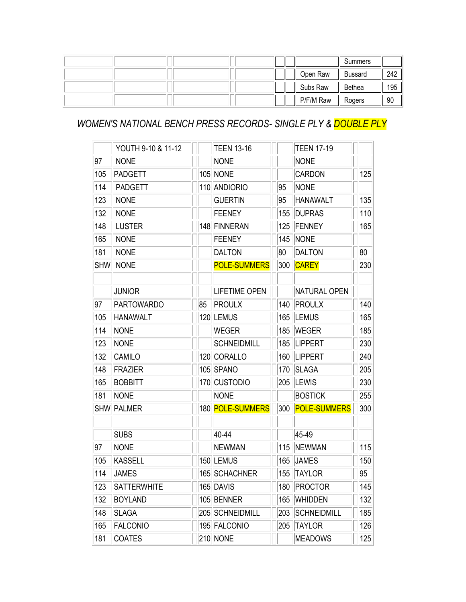|  |  |           | Summers |     |
|--|--|-----------|---------|-----|
|  |  | Open Raw  | Bussard | 242 |
|  |  | Subs Raw  | Bethea  | 195 |
|  |  | P/F/M Raw | Rogers  | 90  |

## *WOMEN'S NATIONAL BENCH PRESS RECORDS- SINGLE PLY & DOUBLE PLY*

|            | YOUTH 9-10 & 11-12 |    | <b>TEEN 13-16</b>    |     | <b>TEEN 17-19</b>   |     |
|------------|--------------------|----|----------------------|-----|---------------------|-----|
| 97         | <b>NONE</b>        |    | <b>NONE</b>          |     | <b>NONE</b>         |     |
| 105        | <b>PADGETT</b>     |    | <b>105 NONE</b>      |     | <b>CARDON</b>       | 125 |
| 114        | <b>PADGETT</b>     |    | 110 ANDIORIO         | 95  | <b>NONE</b>         |     |
| 123        | <b>NONE</b>        |    | <b>GUERTIN</b>       | 95  | <b>HANAWALT</b>     | 135 |
| 132        | <b>NONE</b>        |    | <b>FEENEY</b>        | 155 | <b>DUPRAS</b>       | 110 |
| 148        | <b>LUSTER</b>      |    | 148 FINNERAN         | 125 | FENNEY              | 165 |
| 165        | <b>NONE</b>        |    | <b>FEENEY</b>        | 145 | NONE                |     |
| 181        | <b>NONE</b>        |    | <b>DALTON</b>        | 80  | <b>DALTON</b>       | 80  |
| <b>SHW</b> | <b>NONE</b>        |    | <b>POLE-SUMMERS</b>  | 300 | <b>CAREY</b>        | 230 |
|            |                    |    |                      |     |                     |     |
|            | <b>JUNIOR</b>      |    | <b>LIFETIME OPEN</b> |     | <b>NATURAL OPEN</b> |     |
| 97         | <b>PARTOWARDO</b>  | 85 | PROULX               | 140 | <b>PROULX</b>       | 140 |
| 105        | <b>HANAWALT</b>    |    | 120 LEMUS            | 165 | <b>LEMUS</b>        | 165 |
| 114        | <b>NONE</b>        |    | <b>WEGER</b>         | 185 | <b>WEGER</b>        | 185 |
| 123        | <b>NONE</b>        |    | <b>SCHNEIDMILL</b>   | 185 | <b>LIPPERT</b>      | 230 |
| 132        | <b>CAMILO</b>      |    | 120 CORALLO          | 160 | <b>LIPPERT</b>      | 240 |
| 148        | FRAZIER            |    | 105 SPANO            | 170 | <b>SLAGA</b>        | 205 |
| 165        | <b>BOBBITT</b>     |    | 170 CUSTODIO         | 205 | <b>LEWIS</b>        | 230 |
| 181        | <b>NONE</b>        |    | <b>NONE</b>          |     | <b>BOSTICK</b>      | 255 |
| <b>SHW</b> | PALMER             |    | 180 POLE-SUMMERS     | 300 | <b>POLE-SUMMERS</b> | 300 |
|            |                    |    |                      |     |                     |     |
|            | <b>SUBS</b>        |    | 40-44                |     | 45-49               |     |
| 97         | <b>NONE</b>        |    | <b>NEWMAN</b>        | 115 | <b>NEWMAN</b>       | 115 |
| 105        | KASSELL            |    | 150 LEMUS            | 165 | <b>JAMES</b>        | 150 |
| 114        | <b>JAMES</b>       |    | 165 SCHACHNER        | 155 | <b>TAYLOR</b>       | 95  |
| 123        | SATTERWHITE        |    | 165 DAVIS            |     | 180   PROCTOR       | 145 |
| 132        | <b>BOYLAND</b>     |    | 105 BENNER           | 165 | <b>WHIDDEN</b>      | 132 |
| 148        | <b>SLAGA</b>       |    | 205 SCHNEIDMILL      | 203 | <b>SCHNEIDMILL</b>  | 185 |
| 165        | <b>FALCONIO</b>    |    | 195 FALCONIO         | 205 | <b>TAYLOR</b>       | 126 |
| 181        | <b>COATES</b>      |    | 210 NONE             |     | <b>MEADOWS</b>      | 125 |